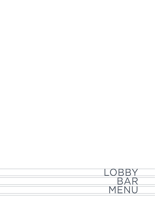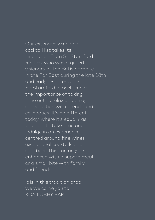Our extensive wine and cocktail list takes its inspiration from Sir Stamford Raffles, who was a gifted visionary of the British Empire in the Far East during the late 18th and early 19th centuries. Sir Stamford himself knew the importance of taking time out to relax and enjoy conversation with friends and colleagues. It's no different today, where it's equally as valuable to take time and indulge in an experience centred around fine wines, exceptional cocktails or a cold beer. This can only be enhanced with a superb meal or a small bite with family and friends.

It is in this tradition that we welcome you to KOA LOBBY BAR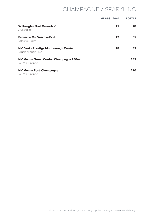# CHAMPAGNE / SPARKLING

|                                                        | GLASS 120ml | <b>BOTTLE</b> |
|--------------------------------------------------------|-------------|---------------|
| Willowglen Brut Cuvée NV<br>Australia                  | 11          | 48            |
| <b>Prosecco Ca' Vescove Brut</b><br>Veneto, Italy      | 12          | 55            |
| NV Deutz Prestige Marlborough Cuvée<br>Marlborough, NZ | 18          | 85            |
| NV Mumm Grand Cordon Champagne 750ml<br>Reims, France  |             | 185           |
| NV Mumm Rosé Champagne<br>Reims, France                |             | 210           |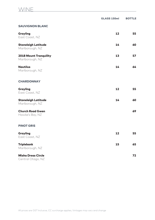### WINE

|                                                  | GLASS 150ml | <b>BOTTLE</b> |
|--------------------------------------------------|-------------|---------------|
| <b>SAUVIGNON BLANC</b>                           |             |               |
| Grayling<br>East Coast, NZ                       | 12          | 55            |
| <b>Stoneleigh Latitude</b><br>Marlborough, NZ    | 14          | 60            |
| <b>2018 Mount Tranquility</b><br>Marlborough, NZ | 13          | 57            |
| <b>Nautilus</b><br>Marlborough, NZ               | 14          | 64            |
| <b>CHARDONNAY</b>                                |             |               |
| <b>Grayling</b><br>East Coast, NZ                | 12          | 55            |
| <b>Stoneleigh Latitude</b><br>Marlborough, NZ    | 14          | 60            |
| <b>Church Road Gwen</b><br>Hawke's Bay, NZ       |             | 69            |
| <b>PINOT GRIS</b>                                |             |               |
| <b>Grayling</b><br>East Coast, NZ                | 12          | 55            |
| <b>Triplebank</b><br>Marlborough, NZ             | 15          | 65            |
| <b>Misha Dress Circle</b><br>Central Otago, NZ   |             | 72            |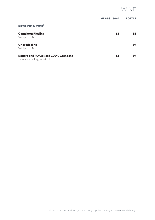|                                                                  | GLASS 150ml | <b>BOTTLE</b> |
|------------------------------------------------------------------|-------------|---------------|
| <b>RIESLING &amp; ROSÉ</b>                                       |             |               |
| <b>Camshorn Riesling</b><br>Waipara, NZ                          | 13          | 58            |
| <b>Urlar Riesling</b><br>Waipara, NZ                             |             | 59            |
| Rogers and Rufus Rosé 100% Grenache<br>Barossa Valley, Australia | 13          | 59            |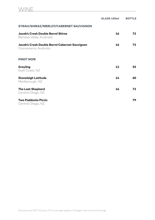|                                                                         | GLASS 150ml | <b>BOTTLE</b> |
|-------------------------------------------------------------------------|-------------|---------------|
| SYRAH/SHIRAZ/MERLOT/CABERNET SAUVIGNON                                  |             |               |
| Jacob's Creek Double Barrel Shiraz<br>Barossa Valley, Australia         | 16          | 72            |
| Jacob's Creek Double Barrel Cabernet Sauvignon<br>Coonawarra, Australia | 16          | 72            |
| <b>PINOT NOIR</b>                                                       |             |               |
| Grayling<br>East Coast, NZ                                              | 12          | 55            |
| <b>Stoneleigh Latitude</b><br>Marlborough, NZ                           | 14          | 60            |
| <b>The Last Shephard</b><br>Central Otago, NZ                           | 16          | 72            |
| <b>Two Paddocks Picnic</b><br>Central Otago, NZ                         |             | 79            |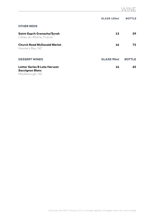## WINE

|                                                                                  | GLASS 150ml       | <b>BOTTLE</b> |
|----------------------------------------------------------------------------------|-------------------|---------------|
| <b>OTHER REDS</b>                                                                |                   |               |
| Saint-Esprit Grenache/Syrah<br>Côtes-du-Rhône, France                            | 13                | 59            |
| <b>Church Road McDonald Merlot</b><br>Hawke's Bay, NZ                            | 16                | 72            |
| <b>DESSERT WINES</b>                                                             | <b>GLASS 90ml</b> | <b>BOTTLE</b> |
| <b>Letter Series B Late Harvest</b><br><b>Sauvignon Blanc</b><br>Marlborough, NZ | 16                | 65            |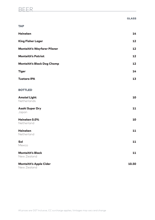## BEER <u>en andere van die verschieden van die verschieden van die verschieden van die verschieden van die verschieden van die verschieden van die verschieden van die verschieden van die verschieden van die verschieden van di</u>

|                                        | <b>GLASS</b> |
|----------------------------------------|--------------|
| <b>TAP</b>                             |              |
| <b>Heineken</b>                        | 14           |
| <b>King Fisher Lager</b>               | 12           |
| <b>Monteith's Wayfarer Pilsner</b>     | 12           |
| <b>Monteith's Patriot</b>              | 12           |
| <b>Monteith's Black Dog Chomp</b>      | 12           |
| <b>Tiger</b>                           | 14           |
| <b>Tuatara IPA</b>                     | 13           |
| <b>BOTTLED</b>                         |              |
| <b>Amstel Light</b><br>Netherlands     | 10           |
| <b>Asahi Super Dry</b><br>Japan        | 11           |
| Heineken 0.0%<br>Netherland            | 10           |
| <b>Heineken</b><br>Netherland          | 11           |
| Sol<br>Mexico                          | 11           |
| <b>Monteith's Black</b><br>New Zealand | 11           |
| <b>Monteith's Apple Cider</b>          | 10.50        |

New Zealand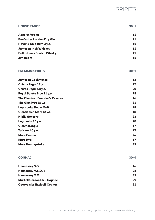| <b>HOUSE RANGE</b>                     | 30 <sub>ml</sub> |
|----------------------------------------|------------------|
| <b>Absolut Vodka</b>                   | 11               |
| <b>Beefeater London Dry Gin</b>        | 11               |
| Havana Club Rum 3 y.o.                 | 11               |
| <b>Jameson Irish Whiskey</b>           | 11               |
| <b>Ballantine's Scotch Whisky</b>      | 11               |
| Jim Beam                               | 11               |
|                                        |                  |
| <b>PREMIUM SPIRITS</b>                 | 30 <sub>ml</sub> |
| <b>Jameson Caskmates</b>               | 13               |
| Chivas Regal 12 y.o.                   | 12               |
| Chivas Regal 18 y.o.                   | 20               |
| Royal Salute Blue 21 y.o.              | 75               |
| <b>The Glenlivet Founder's Reserve</b> | 16               |
| The Glenlivet 25 y.o.                  | 81               |
| <b>Laphroaig Single Malt</b>           | 18               |
| Glenfiddich Malt 12 y.o.               | 18               |
| <b>Hibiki Suntory</b>                  | 23               |
| Lagavulin 16 y.o.                      | 20               |
| Glenmorangie                           | 17               |
| Talisker 10 y.o.                       | 17               |
| <b>Mars Cosmo</b>                      | 24               |
| Mars Iwai                              | 17               |
| <b>Mars Komagatake</b>                 | 39               |
| <b>COGNAC</b>                          | 30 <sub>ml</sub> |
| <b>Hennessey V.S.</b>                  | 16               |
| Hennessey V.S.O.P.                     | 26               |
| Hennessey X.O.                         | 35               |
| <b>Martell Cordon Bleu Cognac</b>      | 29               |
| <b>Courvoisier Exclusif Cognac</b>     | 21               |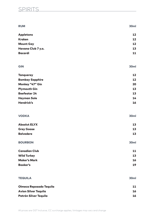## SPIRITS

| <b>RUM</b>                  | 30 <sub>ml</sub> |
|-----------------------------|------------------|
| <b>Appletons</b>            | 12               |
| <b>Kraken</b>               | 12               |
| <b>Mount Gay</b>            | 12               |
| Havana Club 7 y.o.          | 13               |
| <b>Bacardi</b>              | 11               |
| <b>GIN</b>                  | 30 <sub>ml</sub> |
| <b>Tanqueray</b>            | 12               |
| <b>Bombay Sapphire</b>      | 12               |
| Monkey "47" Gin             | 20               |
| <b>Plymouth Gin</b>         | 13               |
| <b>Beefeater 24</b>         | 13               |
| <b>Hayman Sole</b>          | 14               |
| <b>Hendrick's</b>           | 16               |
| <b>VODKA</b>                | 30 <sub>ml</sub> |
| <b>Absolut ELYX</b>         | 13               |
| <b>Grey Goose</b>           | 13               |
| <b>Belvedere</b>            | 13               |
| <b>BOURBON</b>              | 30 <sub>ml</sub> |
| <b>Canadian Club</b>        | 11               |
| <b>Wild Turkey</b>          | 13               |
| <b>Maker's Mark</b>         | 16               |
| <b>Booker's</b>             | 19               |
| <b>TEQUILA</b>              | 30 <sub>ml</sub> |
| Olmeca Reposado Tequila     | 11               |
| <b>Avion Silver Tequila</b> | 16               |
| Patrón Silver Tequila       | 16               |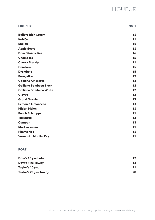| <b>LIQUEUR</b>                | 30ml |
|-------------------------------|------|
| <b>Baileys Irish Cream</b>    | 11   |
| Kahlúa                        | 11   |
| <b>Malibu</b>                 | 11   |
| <b>Apple Sours</b>            | 11   |
| <b>Dom Bénédictine</b>        | 16   |
| <b>Chambord</b>               | 15   |
| <b>Cherry Brandy</b>          | 11   |
| Cointreau                     | 15   |
| <b>Drambuie</b>               | 15   |
| <b>Frangelico</b>             | 12   |
| <b>Galliano Amaretto</b>      | 12   |
| <b>Galliano Sambuca Black</b> | 12   |
| <b>Galliano Sambuca White</b> | 12   |
| Glayva                        | 13   |
| <b>Grand Marnier</b>          | 13   |
| <b>Lemon Z Limoncello</b>     | 13   |
| <b>Midori Melon</b>           | 11   |
| <b>Peach Schnapps</b>         | 11   |
| <b>Tia Maria</b>              | 13   |
| Campari                       | 13   |
| <b>Martini Rosso</b>          | 11   |
| <b>Pimms No1</b>              | 11   |
| <b>Vermouth Martini Dry</b>   | 11   |

### PORT

| Dow's 10 y.o. Late      | 17 |
|-------------------------|----|
| <b>Dow's Fine Tawny</b> | 12 |
| Taylor's 10 y.o.        | 21 |
| Taylor's 20 y.o. Tawny  | 28 |